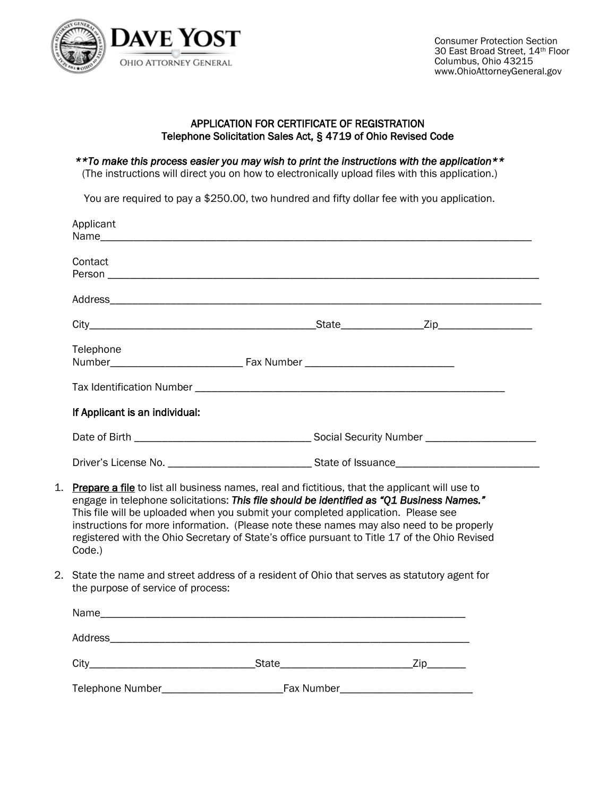

## APPLICATION FOR CERTIFICATE OF REGISTRATION Telephone Solicitation Sales Act, § 4719 of Ohio Revised Code

*\*\*To make this process easier you may wish to print the instructions with the application\*\** 

(The instructions will direct you on how to electronically upload files with this application.)

You are required to pay a \$250.00, two hundred and fifty dollar fee with you application.

| Applicant                                | Name and the contract of the contract of the contract of the contract of the contract of the contract of the contract of the contract of the contract of the contract of the contract of the contract of the contract of the c                                                                                                                                                                                                                                                |  |  |  |
|------------------------------------------|-------------------------------------------------------------------------------------------------------------------------------------------------------------------------------------------------------------------------------------------------------------------------------------------------------------------------------------------------------------------------------------------------------------------------------------------------------------------------------|--|--|--|
| Contact                                  |                                                                                                                                                                                                                                                                                                                                                                                                                                                                               |  |  |  |
|                                          |                                                                                                                                                                                                                                                                                                                                                                                                                                                                               |  |  |  |
|                                          |                                                                                                                                                                                                                                                                                                                                                                                                                                                                               |  |  |  |
| Telephone                                |                                                                                                                                                                                                                                                                                                                                                                                                                                                                               |  |  |  |
|                                          |                                                                                                                                                                                                                                                                                                                                                                                                                                                                               |  |  |  |
| If Applicant is an individual:           |                                                                                                                                                                                                                                                                                                                                                                                                                                                                               |  |  |  |
|                                          |                                                                                                                                                                                                                                                                                                                                                                                                                                                                               |  |  |  |
|                                          |                                                                                                                                                                                                                                                                                                                                                                                                                                                                               |  |  |  |
| 1.<br>Code.)                             | Prepare a file to list all business names, real and fictitious, that the applicant will use to<br>engage in telephone solicitations: This file should be identified as "Q1 Business Names."<br>This file will be uploaded when you submit your completed application. Please see<br>instructions for more information. (Please note these names may also need to be properly<br>registered with the Ohio Secretary of State's office pursuant to Title 17 of the Ohio Revised |  |  |  |
| 2.<br>the purpose of service of process: | State the name and street address of a resident of Ohio that serves as statutory agent for                                                                                                                                                                                                                                                                                                                                                                                    |  |  |  |
|                                          |                                                                                                                                                                                                                                                                                                                                                                                                                                                                               |  |  |  |
|                                          |                                                                                                                                                                                                                                                                                                                                                                                                                                                                               |  |  |  |
|                                          |                                                                                                                                                                                                                                                                                                                                                                                                                                                                               |  |  |  |
|                                          |                                                                                                                                                                                                                                                                                                                                                                                                                                                                               |  |  |  |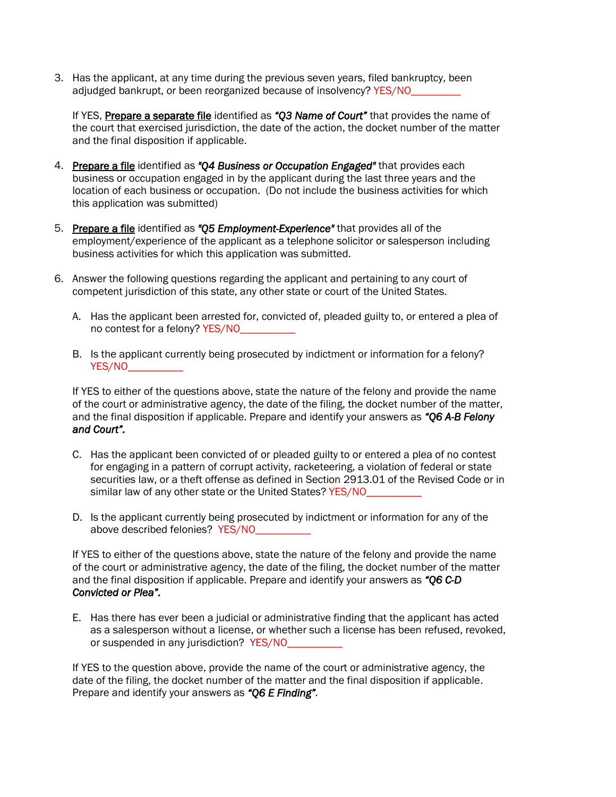3. Has the applicant, at any time during the previous seven years, filed bankruptcy, been adjudged bankrupt, or been reorganized because of insolvency? YES/NO\_\_\_\_\_\_\_\_\_

If YES, Prepare a separate file identified as *"Q3 Name of Court"* that provides the name of the court that exercised jurisdiction, the date of the action, the docket number of the matter and the final disposition if applicable.

- 4. Prepare a file identified as *"Q4 Business or Occupation Engaged"* that provides each business or occupation engaged in by the applicant during the last three years and the location of each business or occupation. (Do not include the business activities for which this application was submitted)
- 5. Prepare a file identified as *"Q5 Employment-Experience"* that provides all of the employment/experience of the applicant as a telephone solicitor or salesperson including business activities for which this application was submitted.
- 6. Answer the following questions regarding the applicant and pertaining to any court of competent jurisdiction of this state, any other state or court of the United States.
	- A. Has the applicant been arrested for, convicted of, pleaded guilty to, or entered a plea of no contest for a felony? YES/NO
	- B. Is the applicant currently being prosecuted by indictment or information for a felony? YES/NO\_\_\_\_\_\_\_\_\_\_

If YES to either of the questions above, state the nature of the felony and provide the name of the court or administrative agency, the date of the filing, the docket number of the matter, and the final disposition if applicable. Prepare and identify your answers as *"Q6 A-B Felony and Court".* 

- C. Has the applicant been convicted of or pleaded guilty to or entered a plea of no contest for engaging in a pattern of corrupt activity, racketeering, a violation of federal or state securities law, or a theft offense as defined in Section 2913.01 of the Revised Code or in similar law of any other state or the United States? YES/NO
- D. Is the applicant currently being prosecuted by indictment or information for any of the above described felonies? YES/NO\_

If YES to either of the questions above, state the nature of the felony and provide the name of the court or administrative agency, the date of the filing, the docket number of the matter and the final disposition if applicable. Prepare and identify your answers as *"Q6 C-D Convicted or Plea".* 

E. Has there has ever been a judicial or administrative finding that the applicant has acted as a salesperson without a license, or whether such a license has been refused, revoked, or suspended in any jurisdiction? YES/NO\_

If YES to the question above, provide the name of the court or administrative agency, the date of the filing, the docket number of the matter and the final disposition if applicable. Prepare and identify your answers as *"Q6 E Finding".*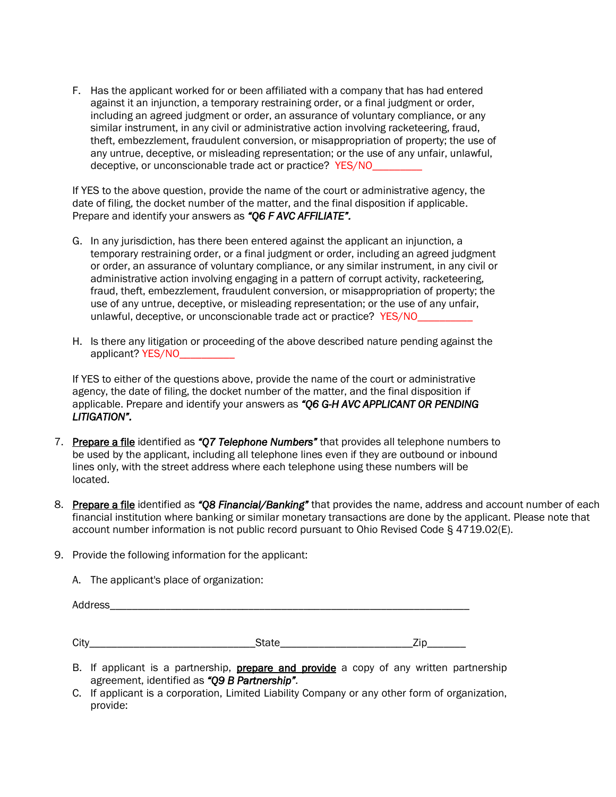F. Has the applicant worked for or been affiliated with a company that has had entered against it an injunction, a temporary restraining order, or a final judgment or order, including an agreed judgment or order, an assurance of voluntary compliance, or any similar instrument, in any civil or administrative action involving racketeering, fraud, theft, embezzlement, fraudulent conversion, or misappropriation of property; the use of any untrue, deceptive, or misleading representation; or the use of any unfair, unlawful, deceptive, or unconscionable trade act or practice? YES/NO\_

If YES to the above question, provide the name of the court or administrative agency, the date of filing, the docket number of the matter, and the final disposition if applicable. Prepare and identify your answers as *"Q6 F AVC AFFILIATE".*

- G. In any jurisdiction, has there been entered against the applicant an injunction, a temporary restraining order, or a final judgment or order, including an agreed judgment or order, an assurance of voluntary compliance, or any similar instrument, in any civil or administrative action involving engaging in a pattern of corrupt activity, racketeering, fraud, theft, embezzlement, fraudulent conversion, or misappropriation of property; the use of any untrue, deceptive, or misleading representation; or the use of any unfair, unlawful, deceptive, or unconscionable trade act or practice? YES/NO
- H. Is there any litigation or proceeding of the above described nature pending against the applicant? YES/NO\_\_\_\_

If YES to either of the questions above, provide the name of the court or administrative agency, the date of filing, the docket number of the matter, and the final disposition if applicable. Prepare and identify your answers as *"Q6 G-H AVC APPLICANT OR PENDING LITIGATION".*

- 7. Prepare a file identified as *"Q7 Telephone Numbers"* that provides all telephone numbers to be used by the applicant, including all telephone lines even if they are outbound or inbound lines only, with the street address where each telephone using these numbers will be located.
- 8. Prepare a file identified as *"Q8 Financial/Banking"* that provides the name, address and account number of each financial institution where banking or similar monetary transactions are done by the applicant. Please note that account number information is not public record pursuant to Ohio Revised Code § 4719.02(E).
- 9. Provide the following information for the applicant:

A. The applicant's place of organization:

| Address_ |              |     |
|----------|--------------|-----|
| City     | <b>State</b> | Zip |

- B. If applicant is a partnership, **prepare and provide** a copy of any written partnership agreement, identified as *"Q9 B Partnership".*
- C. If applicant is a corporation, Limited Liability Company or any other form of organization, provide: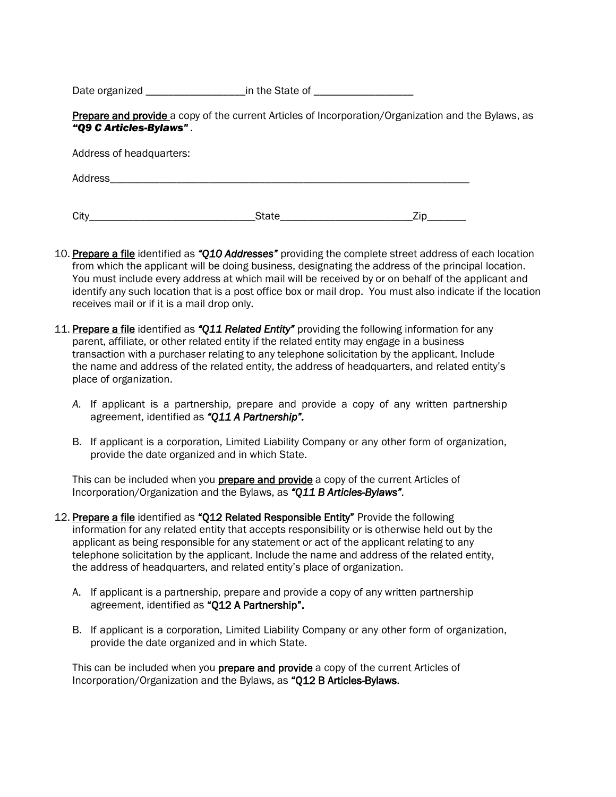Date organized \_\_\_\_\_\_\_\_\_\_\_\_\_\_\_\_\_\_\_\_\_\_\_\_\_\_in the State of \_\_\_\_\_\_\_\_\_\_\_\_\_\_\_\_\_\_\_\_\_\_\_

Prepare and provide a copy of the current Articles of Incorporation/Organization and the Bylaws, as *"Q9 C Articles-Bylaws" .*

Address of headquarters:

| Address<br>$-1 - 1$ |  |  |  |  |
|---------------------|--|--|--|--|
|                     |  |  |  |  |

City\_\_\_\_\_\_\_\_\_\_\_\_\_\_\_\_\_\_\_\_\_\_\_\_\_\_\_\_\_\_State\_\_\_\_\_\_\_\_\_\_\_\_\_\_\_\_\_\_\_\_\_\_\_\_Zip\_\_\_\_\_\_\_

- 10. Prepare a file identified as *"Q10 Addresses"* providing the complete street address of each location from which the applicant will be doing business, designating the address of the principal location. You must include every address at which mail will be received by or on behalf of the applicant and identify any such location that is a post office box or mail drop. You must also indicate if the location receives mail or if it is a mail drop only.
- 11. Prepare a file identified as *"Q11 Related Entity"* providing the following information for any parent, affiliate, or other related entity if the related entity may engage in a business transaction with a purchaser relating to any telephone solicitation by the applicant. Include the name and address of the related entity, the address of headquarters, and related entity's place of organization.
	- *A.* If applicant is a partnership, prepare and provide a copy of any written partnership agreement, identified as *"Q11 A Partnership".*
	- B. If applicant is a corporation, Limited Liability Company or any other form of organization, provide the date organized and in which State.

This can be included when you **prepare and provide** a copy of the current Articles of Incorporation/Organization and the Bylaws, as *"Q11 B Articles-Bylaws".* 

- 12. Prepare a file identified as "Q12 Related Responsible Entity" Provide the following information for any related entity that accepts responsibility or is otherwise held out by the applicant as being responsible for any statement or act of the applicant relating to any telephone solicitation by the applicant. Include the name and address of the related entity, the address of headquarters, and related entity's place of organization.
	- A. If applicant is a partnership, prepare and provide a copy of any written partnership agreement, identified as "Q12 A Partnership".
	- B. If applicant is a corporation, Limited Liability Company or any other form of organization, provide the date organized and in which State.

This can be included when you **prepare and provide** a copy of the current Articles of Incorporation/Organization and the Bylaws, as "Q12 B Articles-Bylaws.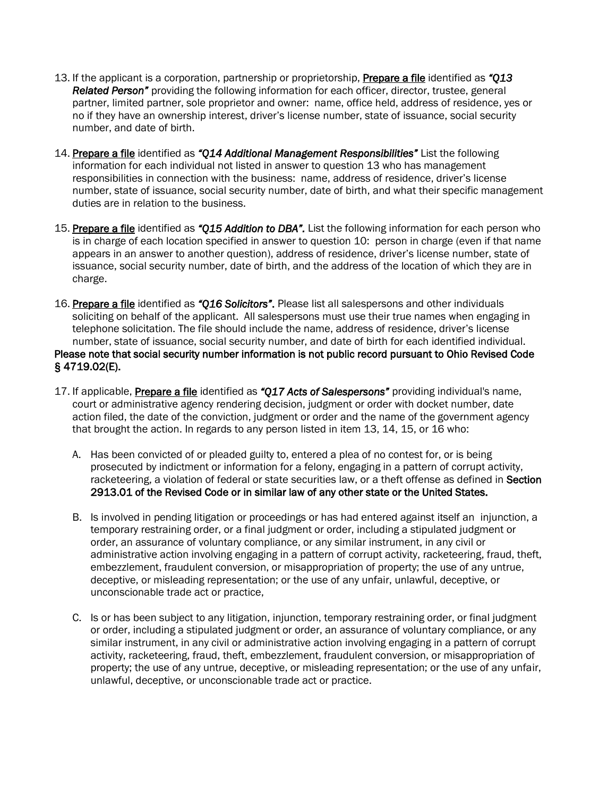- 13. If the applicant is a corporation, partnership or proprietorship, Prepare a file identified as *"Q13 Related Person"* providing the following information for each officer, director, trustee, general partner, limited partner, sole proprietor and owner: name, office held, address of residence, yes or no if they have an ownership interest, driver's license number, state of issuance, social security number, and date of birth.
- 14. Prepare a file identified as *"Q14 Additional Management Responsibilities"* List the following information for each individual not listed in answer to question 13 who has management responsibilities in connection with the business: name, address of residence, driver's license number, state of issuance, social security number, date of birth, and what their specific management duties are in relation to the business.
- 15. Prepare a file identified as *"Q15 Addition to DBA".* List the following information for each person who is in charge of each location specified in answer to question 10: person in charge (even if that name appears in an answer to another question), address of residence, driver's license number, state of issuance, social security number, date of birth, and the address of the location of which they are in charge.
- 16. Prepare a file identified as *"Q16 Solicitors"*. Please list all salespersons and other individuals soliciting on behalf of the applicant. All salespersons must use their true names when engaging in telephone solicitation. The file should include the name, address of residence, driver's license number, state of issuance, social security number, and date of birth for each identified individual. Please note that social security number information is not public record pursuant to Ohio Revised Code § 4719.02(E).
- 17. If applicable, Prepare a file identified as *"Q17 Acts of Salespersons"* providing individual's name, court or administrative agency rendering decision, judgment or order with docket number, date action filed, the date of the conviction, judgment or order and the name of the government agency that brought the action. In regards to any person listed in item 13, 14, 15, or 16 who:
	- A. Has been convicted of or pleaded guilty to, entered a plea of no contest for, or is being prosecuted by indictment or information for a felony, engaging in a pattern of corrupt activity, racketeering, a violation of federal or state securities law, or a theft offense as defined in Section 2913.01 of the Revised Code or in similar law of any other state or the United States.
	- B. Is involved in pending litigation or proceedings or has had entered against itself an injunction, a temporary restraining order, or a final judgment or order, including a stipulated judgment or order, an assurance of voluntary compliance, or any similar instrument, in any civil or administrative action involving engaging in a pattern of corrupt activity, racketeering, fraud, theft, embezzlement, fraudulent conversion, or misappropriation of property; the use of any untrue, deceptive, or misleading representation; or the use of any unfair, unlawful, deceptive, or unconscionable trade act or practice,
	- C. Is or has been subject to any litigation, injunction, temporary restraining order, or final judgment or order, including a stipulated judgment or order, an assurance of voluntary compliance, or any similar instrument, in any civil or administrative action involving engaging in a pattern of corrupt activity, racketeering, fraud, theft, embezzlement, fraudulent conversion, or misappropriation of property; the use of any untrue, deceptive, or misleading representation; or the use of any unfair, unlawful, deceptive, or unconscionable trade act or practice.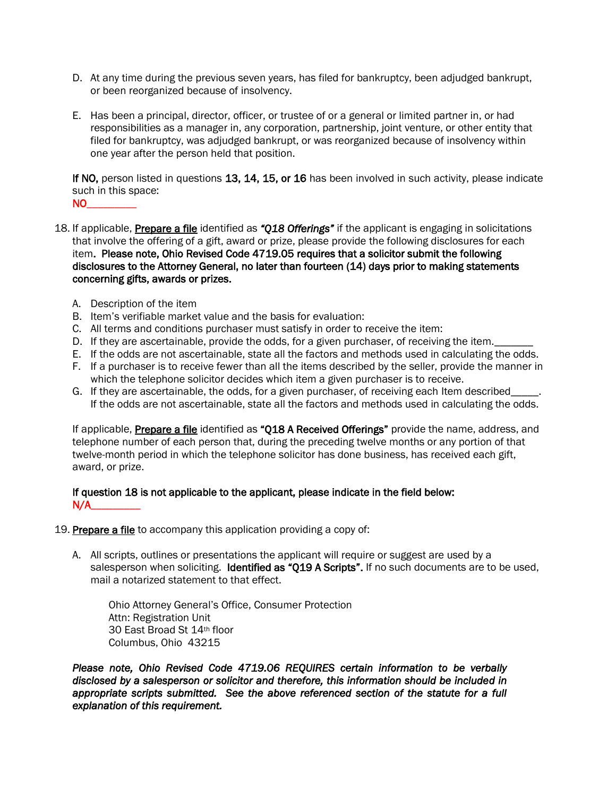- D. At any time during the previous seven years, has filed for bankruptcy, been adjudged bankrupt, or been reorganized because of insolvency.
- E. Has been a principal, director, officer, or trustee of or a general or limited partner in, or had responsibilities as a manager in, any corporation, partnership, joint venture, or other entity that filed for bankruptcy, was adjudged bankrupt, or was reorganized because of insolvency within one year after the person held that position.

If NO, person listed in questions 13, 14, 15, or 16 has been involved in such activity, please indicate such in this space:  $NO_{\perp}$ 

- 18. If applicable, Prepare a file identified as *"Q18 Offerings"* if the applicant is engaging in solicitations that involve the offering of a gift, award or prize, please provide the following disclosures for each item. Please note, Ohio Revised Code 4719.05 requires that a solicitor submit the following disclosures to the Attorney General, no later than fourteen (14) days prior to making statements concerning gifts, awards or prizes.
	- A. Description of the item
	- B. Item's verifiable market value and the basis for evaluation:
	- C. All terms and conditions purchaser must satisfy in order to receive the item:
	- D. If they are ascertainable, provide the odds, for a given purchaser, of receiving the item.
	- E. If the odds are not ascertainable, state all the factors and methods used in calculating the odds.
	- F. If a purchaser is to receive fewer than all the items described by the seller, provide the manner in which the telephone solicitor decides which item a given purchaser is to receive.
	- G. If they are ascertainable, the odds, for a given purchaser, of receiving each Item described\_ If the odds are not ascertainable, state all the factors and methods used in calculating the odds.

If applicable, Prepare a file identified as "Q18 A Received Offerings" provide the name, address, and telephone number of each person that, during the preceding twelve months or any portion of that twelve-month period in which the telephone solicitor has done business, has received each gift, award, or prize.

## If question 18 is not applicable to the applicant, please indicate in the field below:  $N/A$

- 19. Prepare a file to accompany this application providing a copy of:
	- A. All scripts, outlines or presentations the applicant will require or suggest are used by a salesperson when soliciting. Identified as "Q19 A Scripts". If no such documents are to be used, mail a notarized statement to that effect.

Ohio Attorney General's Office, Consumer Protection Attn: Registration Unit 30 East Broad St 14th floor Columbus, Ohio 43215

*Please note, Ohio Revised Code 4719.06 REQUIRES certain information to be verbally disclosed by a salesperson or solicitor and therefore, this information should be included in appropriate scripts submitted. See the above referenced section of the statute for a full explanation of this requirement.*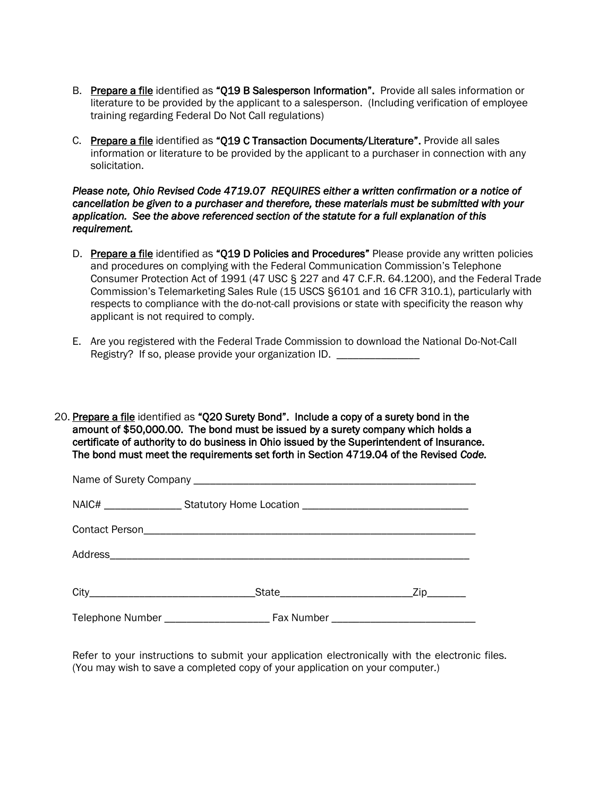- B. Prepare a file identified as "Q19 B Salesperson Information". Provide all sales information or literature to be provided by the applicant to a salesperson. (Including verification of employee training regarding Federal Do Not Call regulations)
- C. Prepare a file identified as "Q19 C Transaction Documents/Literature". Provide all sales information or literature to be provided by the applicant to a purchaser in connection with any solicitation.

*Please note, Ohio Revised Code 4719.07 REQUIRES either a written confirmation or a notice of cancellation be given to a purchaser and therefore, these materials must be submitted with your application. See the above referenced section of the statute for a full explanation of this requirement.* 

- D. Prepare a file identified as "Q19 D Policies and Procedures" Please provide any written policies and procedures on complying with the Federal Communication Commission's Telephone Consumer Protection Act of 1991 (47 USC § 227 and 47 C.F.R. 64.1200), and the Federal Trade Commission's Telemarketing Sales Rule (15 USCS §6101 and 16 CFR 310.1), particularly with respects to compliance with the do-not-call provisions or state with specificity the reason why applicant is not required to comply.
- E. Are you registered with the Federal Trade Commission to download the National Do-Not-Call Registry? If so, please provide your organization ID. \_\_\_\_\_\_\_\_\_\_\_\_\_\_

20. Prepare a file identified as "Q20 Surety Bond". Include a copy of a surety bond in the amount of \$50,000.00. The bond must be issued by a surety company which holds a certificate of authority to do business in Ohio issued by the Superintendent of Insurance. The bond must meet the requirements set forth in Section 4719.04 of the Revised *Code.*

| NAIC# _____________________Statutory Home Location _____________________________ |  |
|----------------------------------------------------------------------------------|--|
|                                                                                  |  |
|                                                                                  |  |
|                                                                                  |  |
|                                                                                  |  |

Refer to your instructions to submit your application electronically with the electronic files. (You may wish to save a completed copy of your application on your computer.)